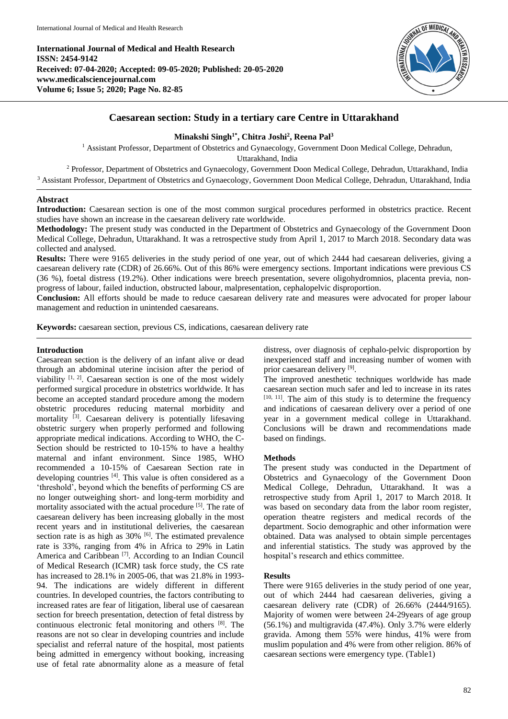**International Journal of Medical and Health Research ISSN: 2454-9142 Received: 07-04-2020; Accepted: 09-05-2020; Published: 20-05-2020 www.medicalsciencejournal.com Volume 6; Issue 5; 2020; Page No. 82-85**



# **Caesarean section: Study in a tertiary care Centre in Uttarakhand**

### **Minakshi Singh1\* , Chitra Joshi<sup>2</sup> , Reena Pal<sup>3</sup>**

<sup>1</sup> Assistant Professor, Department of Obstetrics and Gynaecology, Government Doon Medical College, Dehradun, Uttarakhand, India

<sup>2</sup> Professor, Department of Obstetrics and Gynaecology, Government Doon Medical College, Dehradun, Uttarakhand, India <sup>3</sup> Assistant Professor, Department of Obstetrics and Gynaecology, Government Doon Medical College, Dehradun, Uttarakhand, India

## **Abstract**

**Introduction:** Caesarean section is one of the most common surgical procedures performed in obstetrics practice. Recent studies have shown an increase in the caesarean delivery rate worldwide.

**Methodology:** The present study was conducted in the Department of Obstetrics and Gynaecology of the Government Doon Medical College, Dehradun, Uttarakhand. It was a retrospective study from April 1, 2017 to March 2018. Secondary data was collected and analysed.

**Results:** There were 9165 deliveries in the study period of one year, out of which 2444 had caesarean deliveries, giving a caesarean delivery rate (CDR) of 26.66%. Out of this 86% were emergency sections. Important indications were previous CS (36 %), foetal distress (19.2%). Other indications were breech presentation, severe oligohydromnios, placenta previa, nonprogress of labour, failed induction, obstructed labour, malpresentation, cephalopelvic disproportion.

**Conclusion:** All efforts should be made to reduce caesarean delivery rate and measures were advocated for proper labour management and reduction in unintended caesareans.

**Keywords:** caesarean section, previous CS, indications, caesarean delivery rate

### **Introduction**

Caesarean section is the delivery of an infant alive or dead through an abdominal uterine incision after the period of viability  $[1, 2]$ . Caesarean section is one of the most widely performed surgical procedure in obstetrics worldwide. It has become an accepted standard procedure among the modern obstetric procedures reducing maternal morbidity and mortality <sup>[3]</sup>. Caesarean delivery is potentially lifesaving obstetric surgery when properly performed and following appropriate medical indications. According to WHO, the C-Section should be restricted to 10-15% to have a healthy maternal and infant environment. Since 1985, WHO recommended a 10-15% of Caesarean Section rate in developing countries [4]. This value is often considered as a 'threshold', beyond which the benefits of performing CS are no longer outweighing short- and long-term morbidity and mortality associated with the actual procedure [5]. The rate of caesarean delivery has been increasing globally in the most recent years and in institutional deliveries, the caesarean section rate is as high as  $30\%$  <sup>[6]</sup>. The estimated prevalence rate is 33%, ranging from 4% in Africa to 29% in Latin America and Caribbean<sup>[7]</sup>. According to an Indian Council of Medical Research (ICMR) task force study, the CS rate has increased to 28.1% in 2005-06, that was 21.8% in 1993- 94. The indications are widely different in different countries. In developed countries, the factors contributing to increased rates are fear of litigation, liberal use of caesarean section for breech presentation, detection of fetal distress by continuous electronic fetal monitoring and others [8]. The reasons are not so clear in developing countries and include specialist and referral nature of the hospital, most patients being admitted in emergency without booking, increasing use of fetal rate abnormality alone as a measure of fetal

distress, over diagnosis of cephalo-pelvic disproportion by inexperienced staff and increasing number of women with prior caesarean delivery [9].

The improved anesthetic techniques worldwide has made caesarean section much safer and led to increase in its rates [10, 11]. The aim of this study is to determine the frequency and indications of caesarean delivery over a period of one year in a government medical college in Uttarakhand. Conclusions will be drawn and recommendations made based on findings.

### **Methods**

The present study was conducted in the Department of Obstetrics and Gynaecology of the Government Doon Medical College, Dehradun, Uttarakhand. It was a retrospective study from April 1, 2017 to March 2018. It was based on secondary data from the labor room register, operation theatre registers and medical records of the department. Socio demographic and other information were obtained. Data was analysed to obtain simple percentages and inferential statistics. The study was approved by the hospital's research and ethics committee.

### **Results**

There were 9165 deliveries in the study period of one year, out of which 2444 had caesarean deliveries, giving a caesarean delivery rate (CDR) of 26.66% (2444/9165). Majority of women were between 24-29years of age group (56.1%) and multigravida (47.4%). Only 3.7% were elderly gravida. Among them 55% were hindus, 41% were from muslim population and 4% were from other religion. 86% of caesarean sections were emergency type. (Table1)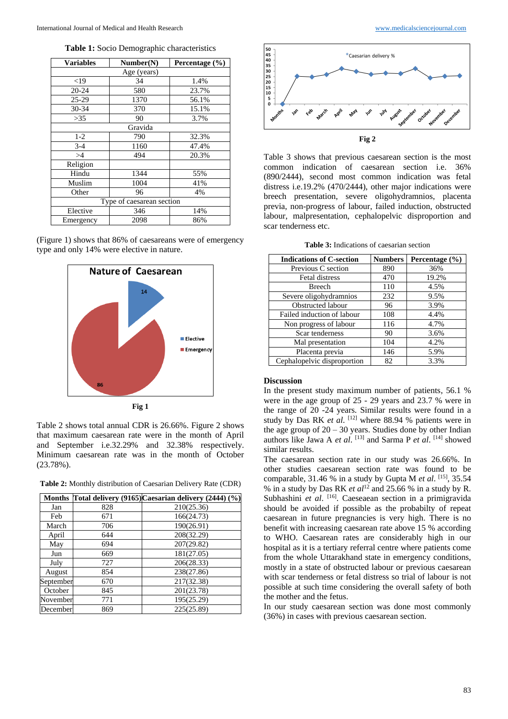**Table 1:** Socio Demographic characteristics

| <b>Variables</b>          | Number(N) | Percentage $(\% )$ |  |  |
|---------------------------|-----------|--------------------|--|--|
| Age (years)               |           |                    |  |  |
| ${<}19$                   | 34        | 1.4%               |  |  |
| $20 - 24$                 | 580       | 23.7%              |  |  |
| $25 - 29$                 | 1370      | 56.1%              |  |  |
| $30 - 34$                 | 370       | 15.1%              |  |  |
| >35                       | 90        | 3.7%               |  |  |
| Gravida                   |           |                    |  |  |
| $1-2$                     | 790       | 32.3%              |  |  |
| $3 - 4$                   | 1160      | 47.4%              |  |  |
| >4                        | 494       | 20.3%              |  |  |
| Religion                  |           |                    |  |  |
| Hindu                     | 1344      | 55%                |  |  |
| Muslim                    | 1004      | 41%                |  |  |
| Other                     | 96        | 4%                 |  |  |
| Type of caesarean section |           |                    |  |  |
| Elective                  | 346       | 14%                |  |  |
| Emergency                 | 2098      | 86%                |  |  |

(Figure 1) shows that 86% of caesareans were of emergency type and only 14% were elective in nature.



**Fig 1**

Table 2 shows total annual CDR is 26.66%. Figure 2 shows that maximum caesarean rate were in the month of April and September i.e.32.29% and 32.38% respectively. Minimum caesarean rate was in the month of October (23.78%).

**Table 2:** Monthly distribution of Caesarian Delivery Rate (CDR)

| <b>Months</b> |     | Total delivery (9165) Caesarian delivery (2444) (%) |
|---------------|-----|-----------------------------------------------------|
| Jan           | 828 | 210(25.36)                                          |
| Feb           | 671 | 166(24.73)                                          |
| March         | 706 | 190(26.91)                                          |
| April         | 644 | 208(32.29)                                          |
| May           | 694 | 207(29.82)                                          |
| Jun           | 669 | 181(27.05)                                          |
| July          | 727 | 206(28.33)                                          |
| August        | 854 | 238(27.86)                                          |
| September     | 670 | 217(32.38)                                          |
| October       | 845 | 201(23.78)                                          |
| November      | 771 | 195(25.29)                                          |
| December      | 869 | 225(25.89)                                          |



Table 3 shows that previous caesarean section is the most common indication of caesarean section i.e. 36% (890/2444), second most common indication was fetal distress i.e.19.2% (470/2444), other major indications were breech presentation, severe oligohydramnios, placenta previa, non-progress of labour, failed induction, obstructed labour, malpresentation, cephalopelvic disproportion and scar tenderness etc.

**Table 3:** Indications of caesarian section

| <b>Indications of C-section</b> | <b>Numbers</b> | Percentage (%) |
|---------------------------------|----------------|----------------|
| Previous C section              | 890            | 36%            |
| Fetal distress                  | 470            | 19.2%          |
| <b>Breech</b>                   | 110            | 4.5%           |
| Severe oligohydramnios          | 232            | 9.5%           |
| Obstructed labour               | 96             | 3.9%           |
| Failed induction of labour      | 108            | 4.4%           |
| Non progress of labour          | 116            | 4.7%           |
| Scar tenderness                 | 90             | 3.6%           |
| Mal presentation                | 104            | 4.2%           |
| Placenta previa                 | 146            | 5.9%           |
| Cephalopelvic disproportion     | 82             | 3.3%           |

#### **Discussion**

In the present study maximum number of patients, 56.1 % were in the age group of 25 - 29 years and 23.7 % were in the range of 20 -24 years. Similar results were found in a study by Das RK *et al.* <sup>[12]</sup> where 88.94 % patients were in the age group of  $20 - 30$  years. Studies done by other Indian authors like Jawa A *et al.* [13] and Sarma P *et al.* [14] showed similar results.

The caesarean section rate in our study was 26.66%. In other studies caesarean section rate was found to be comparable, 31.46 % in a study by Gupta M *et al*. [15] , 35.54 % in a study by Das RK *et al*<sup>12</sup> and 25.66 % in a study by R. Subhashini et al. <sup>[16]</sup>. Caeseaean section in a primigravida should be avoided if possible as the probabilty of repeat caesarean in future pregnancies is very high. There is no benefit with increasing caesarean rate above 15 % according to WHO. Caesarean rates are considerably high in our hospital as it is a tertiary referral centre where patients come from the whole Uttarakhand state in emergency conditions, mostly in a state of obstructed labour or previous caesarean with scar tenderness or fetal distress so trial of labour is not possible at such time considering the overall safety of both the mother and the fetus.

In our study caesarean section was done most commonly (36%) in cases with previous caesarean section.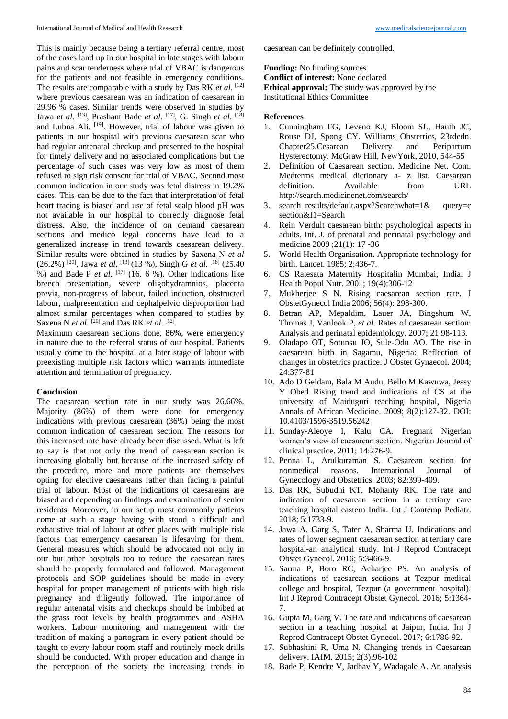This is mainly because being a tertiary referral centre, most of the cases land up in our hospital in late stages with labour pains and scar tenderness where trial of VBAC is dangerous for the patients and not feasible in emergency conditions. The results are comparable with a study by Das RK *et al*. [12] where previous caesarean was an indication of caesarean in 29.96 % cases. Similar trends were observed in studies by Jawa *et al.* [13], Prashant Bade *et al.* [17], G. Singh *et al.* [18] and Lubna Ali. <sup>[19]</sup>. However, trial of labour was given to patients in our hospital with previous caesarean scar who had regular antenatal checkup and presented to the hospital for timely delivery and no associated complications but the percentage of such cases was very low as most of them refused to sign risk consent for trial of VBAC. Second most common indication in our study was fetal distress in 19.2% cases. This can be due to the fact that interpretation of fetal heart tracing is biased and use of fetal scalp blood pH was not available in our hospital to correctly diagnose fetal distress. Also, the incidence of on demand caesarean sections and medico legal concerns have lead to a generalized increase in trend towards caesarean delivery. Similar results were obtained in studies by Saxena N *et al* (26.2%) [20] , Jawa *et al*. [13] (13 %), Singh G *et al*. [18] (25.40  $%$ ) and Bade P *et al.* <sup>[17]</sup> (16. 6 %). Other indications like breech presentation, severe oligohydramnios, placenta previa, non-progress of labour, failed induction, obstructed labour, malpresentation and cephalpelvic disproportion had almost similar percentages when compared to studies by Saxena N *et al.* <sup>[20]</sup> and Das RK *et al.* <sup>[12]</sup>.

Maximum caesarean sections done, 86%, were emergency in nature due to the referral status of our hospital. Patients usually come to the hospital at a later stage of labour with preexisting multiple risk factors which warrants immediate attention and termination of pregnancy.

#### **Conclusion**

The caesarean section rate in our study was 26.66%. Majority (86%) of them were done for emergency indications with previous caesarean (36%) being the most common indication of caesarean section. The reasons for this increased rate have already been discussed. What is left to say is that not only the trend of caesarean section is increasing globally but because of the increased safety of the procedure, more and more patients are themselves opting for elective caesareans rather than facing a painful trial of labour. Most of the indications of caesareans are biased and depending on findings and examination of senior residents. Moreover, in our setup most commonly patients come at such a stage having with stood a difficult and exhaustive trial of labour at other places with multiple risk factors that emergency caesarean is lifesaving for them. General measures which should be advocated not only in our but other hospitals too to reduce the caesarean rates should be properly formulated and followed. Management protocols and SOP guidelines should be made in every hospital for proper management of patients with high risk pregnancy and diligently followed. The importance of regular antenatal visits and checkups should be imbibed at the grass root levels by health programmes and ASHA workers. Labour monitoring and management with the tradition of making a partogram in every patient should be taught to every labour room staff and routinely mock drills should be conducted. With proper education and change in the perception of the society the increasing trends in

caesarean can be definitely controlled.

**Funding:** No funding sources

**Conflict of interest:** None declared

**Ethical approval:** The study was approved by the

Institutional Ethics Committee

#### **References**

- 1. Cunningham FG, Leveno KJ, Bloom SL, Hauth JC, Rouse DJ, Spong CY. Williams Obstetrics, 23rdedn.<br>Chapter25.Cesarean Delivery and Peripartum Chapter25.Cesarean Delivery and Peripartum Hysterectomy. McGraw Hill, NewYork, 2010, 544-55
- 2. Definition of Caesarean section. Medicine Net. Com. Medterms medical dictionary a- z list. Caesarean definition. Available from URL http://search.medicinenet.com/search/
- 3. search\_results/default.aspx?Searchwhat=1& query=c section&I1=Search
- 4. Rein Verdult caesarean birth: psychological aspects in adults. Int. J. of prenatal and perinatal psychology and medicine 2009 ;21(1): 17 -36
- 5. World Health Organisation. Appropriate technology for birth. Lancet. 1985; 2:436-7.
- 6. CS Ratesata Maternity Hospitalin Mumbai, India. J Health Popul Nutr. 2001; 19(4):306-12
- 7. Mukherjee S N. Rising caesarean section rate. J ObstetGynecol India 2006; 56(4): 298-300.
- 8. Betran AP, Mepaldim, Lauer JA, Bingshum W, Thomas J, Vanlook P, *et al*. Rates of caesarean section: Analysis and perinatal epidemiology. 2007; 21:98-113.
- 9. Oladapo OT, Sotunsu JO, Sule-Odu AO. The rise in caesarean birth in Sagamu, Nigeria: Reflection of changes in obstetrics practice. J Obstet Gynaecol. 2004; 24:377-81
- 10. Ado D Geidam, Bala M Audu, Bello M Kawuwa, Jessy Y Obed Rising trend and indications of CS at the university of Maiduguri teaching hospital, Nigeria Annals of African Medicine. 2009; 8(2):127-32. DOI: 10.4103/1596-3519.56242
- 11. Sunday-Aleoye I, Kalu CA. Pregnant Nigerian women's view of caesarean section. Nigerian Journal of clinical practice. 2011; 14:276-9.
- 12. Penna L, Arulkuraman S. Caesarean section for nonmedical reasons. International Journal of Gynecology and Obstetrics. 2003; 82:399-409.
- 13. Das RK, Subudhi KT, Mohanty RK. The rate and indication of caesarean section in a tertiary care teaching hospital eastern India. Int J Contemp Pediatr. 2018; 5:1733-9.
- 14. Jawa A, Garg S, Tater A, Sharma U. Indications and rates of lower segment caesarean section at tertiary care hospital-an analytical study. Int J Reprod Contracept Obstet Gynecol. 2016; 5:3466-9.
- 15. Sarma P, Boro RC, Acharjee PS. An analysis of indications of caesarean sections at Tezpur medical college and hospital, Tezpur (a government hospital). Int J Reprod Contracept Obstet Gynecol. 2016; 5:1364- 7.
- 16. Gupta M, Garg V. The rate and indications of caesarean section in a teaching hospital at Jaipur, India. Int J Reprod Contracept Obstet Gynecol. 2017; 6:1786-92.
- 17. Subhashini R, Uma N. Changing trends in Caesarean delivery. IAIM. 2015; 2(3):96-102
- 18. Bade P, Kendre V, Jadhav Y, Wadagale A. An analysis